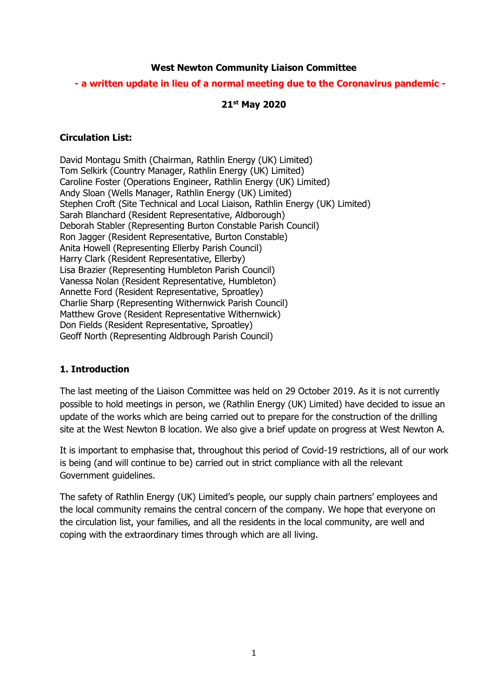#### **West Newton Community Liaison Committee**

### **- a written update in lieu of a normal meeting due to the Coronavirus pandemic -**

#### **21st May 2020**

#### **Circulation List:**

David Montagu Smith (Chairman, Rathlin Energy (UK) Limited) Tom Selkirk (Country Manager, Rathlin Energy (UK) Limited) Caroline Foster (Operations Engineer, Rathlin Energy (UK) Limited) Andy Sloan (Wells Manager, Rathlin Energy (UK) Limited) Stephen Croft (Site Technical and Local Liaison, Rathlin Energy (UK) Limited) Sarah Blanchard (Resident Representative, Aldborough) Deborah Stabler (Representing Burton Constable Parish Council) Ron Jagger (Resident Representative, Burton Constable) Anita Howell (Representing Ellerby Parish Council) Harry Clark (Resident Representative, Ellerby) Lisa Brazier (Representing Humbleton Parish Council) Vanessa Nolan (Resident Representative, Humbleton) Annette Ford (Resident Representative, Sproatley) Charlie Sharp (Representing Withernwick Parish Council) Matthew Grove (Resident Representative Withernwick) Don Fields (Resident Representative, Sproatley) Geoff North (Representing Aldbrough Parish Council)

### **1. Introduction**

The last meeting of the Liaison Committee was held on 29 October 2019. As it is not currently possible to hold meetings in person, we (Rathlin Energy (UK) Limited) have decided to issue an update of the works which are being carried out to prepare for the construction of the drilling site at the West Newton B location. We also give a brief update on progress at West Newton A.

It is important to emphasise that, throughout this period of Covid-19 restrictions, all of our work is being (and will continue to be) carried out in strict compliance with all the relevant Government guidelines.

The safety of Rathlin Energy (UK) Limited's people, our supply chain partners' employees and the local community remains the central concern of the company. We hope that everyone on the circulation list, your families, and all the residents in the local community, are well and coping with the extraordinary times through which are all living.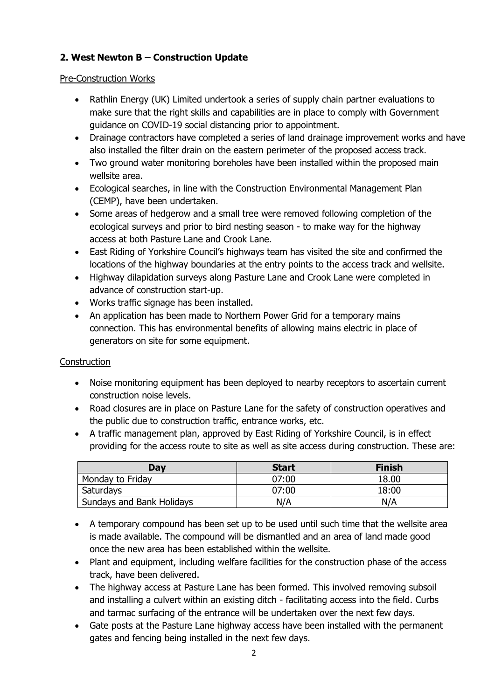# **2. West Newton B – Construction Update**

### Pre-Construction Works

- Rathlin Energy (UK) Limited undertook a series of supply chain partner evaluations to make sure that the right skills and capabilities are in place to comply with Government guidance on COVID-19 social distancing prior to appointment.
- Drainage contractors have completed a series of land drainage improvement works and have also installed the filter drain on the eastern perimeter of the proposed access track.
- Two ground water monitoring boreholes have been installed within the proposed main wellsite area.
- Ecological searches, in line with the Construction Environmental Management Plan (CEMP), have been undertaken.
- Some areas of hedgerow and a small tree were removed following completion of the ecological surveys and prior to bird nesting season - to make way for the highway access at both Pasture Lane and Crook Lane.
- East Riding of Yorkshire Council's highways team has visited the site and confirmed the locations of the highway boundaries at the entry points to the access track and wellsite.
- Highway dilapidation surveys along Pasture Lane and Crook Lane were completed in advance of construction start-up.
- Works traffic signage has been installed.
- An application has been made to Northern Power Grid for a temporary mains connection. This has environmental benefits of allowing mains electric in place of generators on site for some equipment.

## **Construction**

- Noise monitoring equipment has been deployed to nearby receptors to ascertain current construction noise levels.
- Road closures are in place on Pasture Lane for the safety of construction operatives and the public due to construction traffic, entrance works, etc.
- A traffic management plan, approved by East Riding of Yorkshire Council, is in effect providing for the access route to site as well as site access during construction. These are:

| Day                       | <b>Start</b> | <b>Finish</b> |
|---------------------------|--------------|---------------|
| Monday to Friday          | 07:00        | 18.00         |
| Saturdays                 | 07:00        | 18:00         |
| Sundays and Bank Holidays | N/A          | N/A           |

- A temporary compound has been set up to be used until such time that the wellsite area is made available. The compound will be dismantled and an area of land made good once the new area has been established within the wellsite.
- Plant and equipment, including welfare facilities for the construction phase of the access track, have been delivered.
- The highway access at Pasture Lane has been formed. This involved removing subsoil and installing a culvert within an existing ditch - facilitating access into the field. Curbs and tarmac surfacing of the entrance will be undertaken over the next few days.
- Gate posts at the Pasture Lane highway access have been installed with the permanent gates and fencing being installed in the next few days.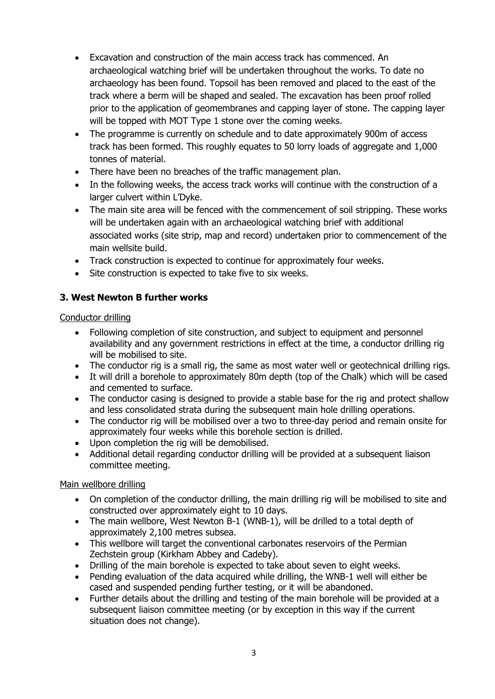- Excavation and construction of the main access track has commenced. An archaeological watching brief will be undertaken throughout the works. To date no archaeology has been found. Topsoil has been removed and placed to the east of the track where a berm will be shaped and sealed. The excavation has been proof rolled prior to the application of geomembranes and capping layer of stone. The capping layer will be topped with MOT Type 1 stone over the coming weeks.
- The programme is currently on schedule and to date approximately 900m of access track has been formed. This roughly equates to 50 lorry loads of aggregate and 1,000 tonnes of material.
- There have been no breaches of the traffic management plan.
- In the following weeks, the access track works will continue with the construction of a larger culvert within L'Dyke.
- The main site area will be fenced with the commencement of soil stripping. These works will be undertaken again with an archaeological watching brief with additional associated works (site strip, map and record) undertaken prior to commencement of the main wellsite build.
- Track construction is expected to continue for approximately four weeks.
- Site construction is expected to take five to six weeks.

## **3. West Newton B further works**

#### Conductor drilling

- Following completion of site construction, and subject to equipment and personnel availability and any government restrictions in effect at the time, a conductor drilling rig will be mobilised to site.
- The conductor rig is a small rig, the same as most water well or geotechnical drilling rigs.
- It will drill a borehole to approximately 80m depth (top of the Chalk) which will be cased and cemented to surface.
- The conductor casing is designed to provide a stable base for the rig and protect shallow and less consolidated strata during the subsequent main hole drilling operations.
- The conductor rig will be mobilised over a two to three-day period and remain onsite for approximately four weeks while this borehole section is drilled.
- Upon completion the rig will be demobilised.
- Additional detail regarding conductor drilling will be provided at a subsequent liaison committee meeting.

### Main wellbore drilling

- On completion of the conductor drilling, the main drilling rig will be mobilised to site and constructed over approximately eight to 10 days.
- The main wellbore, West Newton B-1 (WNB-1), will be drilled to a total depth of approximately 2,100 metres subsea.
- This wellbore will target the conventional carbonates reservoirs of the Permian Zechstein group (Kirkham Abbey and Cadeby).
- Drilling of the main borehole is expected to take about seven to eight weeks.
- Pending evaluation of the data acquired while drilling, the WNB-1 well will either be cased and suspended pending further testing, or it will be abandoned.
- Further details about the drilling and testing of the main borehole will be provided at a subsequent liaison committee meeting (or by exception in this way if the current situation does not change).